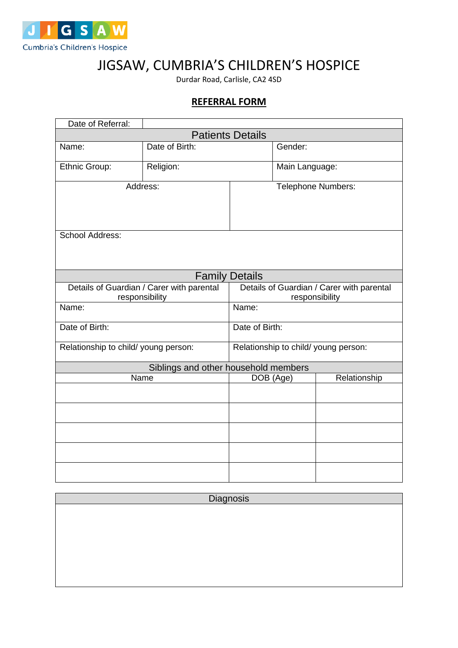

## JIGSAW, CUMBRIA'S CHILDREN'S HOSPICE

Durdar Road, Carlisle, CA2 4SD

## **REFERRAL FORM**

| Date of Referral:                                           |                |                                                             |                |              |
|-------------------------------------------------------------|----------------|-------------------------------------------------------------|----------------|--------------|
| <b>Patients Details</b>                                     |                |                                                             |                |              |
| Name:                                                       | Date of Birth: |                                                             | Gender:        |              |
| Ethnic Group:                                               | Religion:      |                                                             | Main Language: |              |
| Address:                                                    |                | <b>Telephone Numbers:</b>                                   |                |              |
| <b>School Address:</b>                                      |                |                                                             |                |              |
|                                                             |                | <b>Family Details</b>                                       |                |              |
| Details of Guardian / Carer with parental<br>responsibility |                | Details of Guardian / Carer with parental<br>responsibility |                |              |
| Name:                                                       |                | Name:                                                       |                |              |
| Date of Birth:                                              |                | Date of Birth:                                              |                |              |
| Relationship to child/ young person:                        |                | Relationship to child/ young person:                        |                |              |
| Siblings and other household members                        |                |                                                             |                |              |
|                                                             | Name           | DOB (Age)                                                   |                | Relationship |
|                                                             |                |                                                             |                |              |
|                                                             |                |                                                             |                |              |
|                                                             |                |                                                             |                |              |
|                                                             |                |                                                             |                |              |
|                                                             |                |                                                             |                |              |

| Diagnosis |  |  |
|-----------|--|--|
|           |  |  |
|           |  |  |
|           |  |  |
|           |  |  |
|           |  |  |
|           |  |  |
|           |  |  |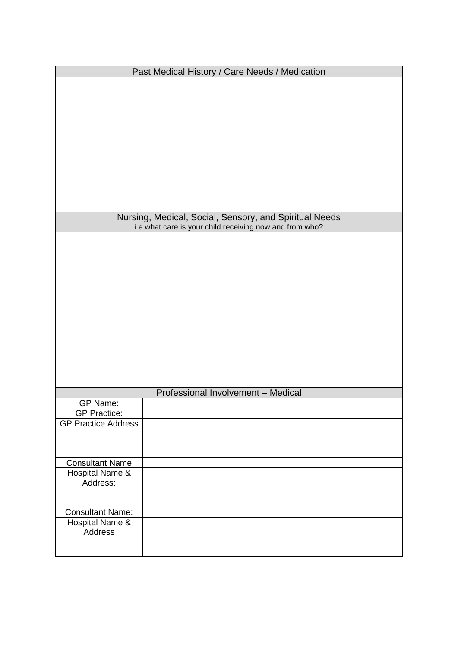| Past Medical History / Care Needs / Medication |                                                                                                                   |  |  |
|------------------------------------------------|-------------------------------------------------------------------------------------------------------------------|--|--|
|                                                |                                                                                                                   |  |  |
|                                                |                                                                                                                   |  |  |
|                                                |                                                                                                                   |  |  |
|                                                |                                                                                                                   |  |  |
|                                                |                                                                                                                   |  |  |
|                                                |                                                                                                                   |  |  |
|                                                |                                                                                                                   |  |  |
|                                                |                                                                                                                   |  |  |
|                                                |                                                                                                                   |  |  |
|                                                |                                                                                                                   |  |  |
|                                                |                                                                                                                   |  |  |
|                                                | Nursing, Medical, Social, Sensory, and Spiritual Needs<br>i.e what care is your child receiving now and from who? |  |  |
|                                                |                                                                                                                   |  |  |
|                                                |                                                                                                                   |  |  |
|                                                |                                                                                                                   |  |  |
|                                                |                                                                                                                   |  |  |
|                                                |                                                                                                                   |  |  |
|                                                |                                                                                                                   |  |  |
|                                                |                                                                                                                   |  |  |
|                                                |                                                                                                                   |  |  |
|                                                |                                                                                                                   |  |  |
|                                                |                                                                                                                   |  |  |
|                                                |                                                                                                                   |  |  |
|                                                |                                                                                                                   |  |  |
|                                                |                                                                                                                   |  |  |
| GP Name:                                       | Professional Involvement - Medical                                                                                |  |  |
| <b>GP Practice:</b>                            |                                                                                                                   |  |  |
| <b>GP Practice Address</b>                     |                                                                                                                   |  |  |
|                                                |                                                                                                                   |  |  |
|                                                |                                                                                                                   |  |  |
| <b>Consultant Name</b>                         |                                                                                                                   |  |  |
| Hospital Name &                                |                                                                                                                   |  |  |
| Address:                                       |                                                                                                                   |  |  |
|                                                |                                                                                                                   |  |  |
| <b>Consultant Name:</b>                        |                                                                                                                   |  |  |
| Hospital Name &                                |                                                                                                                   |  |  |
| <b>Address</b>                                 |                                                                                                                   |  |  |
|                                                |                                                                                                                   |  |  |
|                                                |                                                                                                                   |  |  |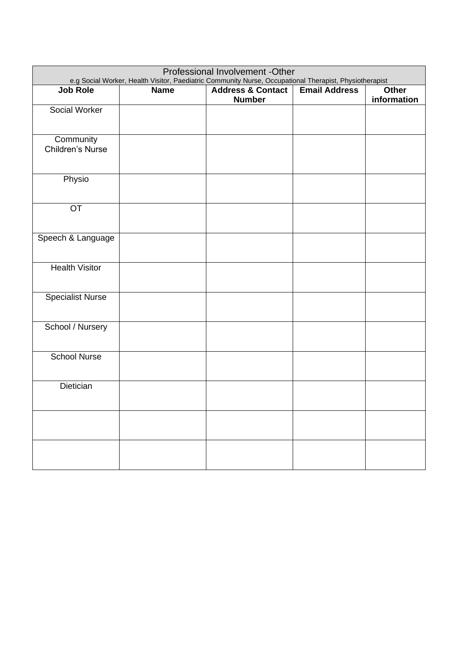| Professional Involvement -Other<br>e.g Social Worker, Health Visitor, Paediatric Community Nurse, Occupational Therapist, Physiotherapist |             |                                               |                      |                             |
|-------------------------------------------------------------------------------------------------------------------------------------------|-------------|-----------------------------------------------|----------------------|-----------------------------|
| <b>Job Role</b>                                                                                                                           | <b>Name</b> | <b>Address &amp; Contact</b><br><b>Number</b> | <b>Email Address</b> | <b>Other</b><br>information |
| Social Worker                                                                                                                             |             |                                               |                      |                             |
| Community<br>Children's Nurse                                                                                                             |             |                                               |                      |                             |
| Physio                                                                                                                                    |             |                                               |                      |                             |
| OT                                                                                                                                        |             |                                               |                      |                             |
| Speech & Language                                                                                                                         |             |                                               |                      |                             |
| <b>Health Visitor</b>                                                                                                                     |             |                                               |                      |                             |
| <b>Specialist Nurse</b>                                                                                                                   |             |                                               |                      |                             |
| School / Nursery                                                                                                                          |             |                                               |                      |                             |
| <b>School Nurse</b>                                                                                                                       |             |                                               |                      |                             |
| Dietician                                                                                                                                 |             |                                               |                      |                             |
|                                                                                                                                           |             |                                               |                      |                             |
|                                                                                                                                           |             |                                               |                      |                             |